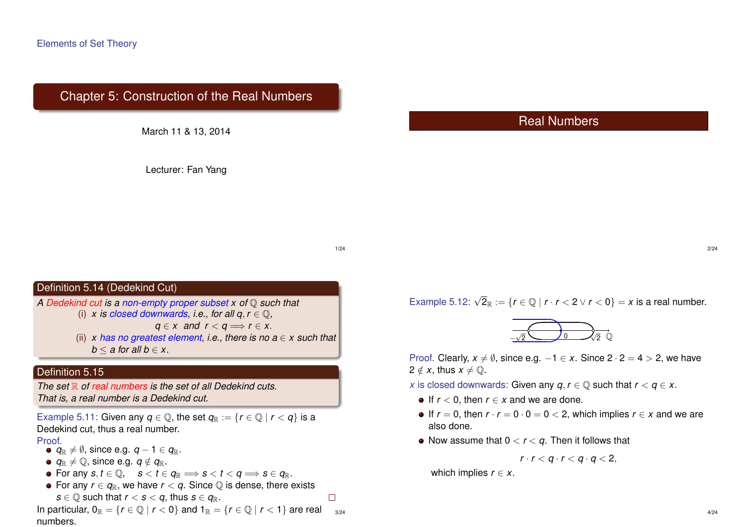# Chapter 5: Construction of the Real Numbers



Lecturer: Fan Yang

# Real Numbers

1/24

 $\Box$ 

#### Definition 5.14 (Dedekind Cut)

*A Dedekind cut is a non-empty proper subset x of* Q *such that* (i) *x* is closed downwards, i.e., for all  $a, r \in \mathbb{O}$ ,

*g* ∈ *x* and  $r < q$   $\Rightarrow$   $r \in x$ .

(ii) *x* has no greatest element, i.e., there is no  $a \in x$  such that  $b \le a$  for all  $b \in x$ .

#### Definition 5.15

*The set* R *of real numbers is the set of all Dedekind cuts. That is, a real number is a Dedekind cut.*

Example 5.11: Given any  $q \in \mathbb{Q}$ , the set  $q_{\mathbb{R}} := \{r \in \mathbb{Q} \mid r < q\}$  is a Dedekind cut, thus a real number.

Proof

- $q_{\mathbb{R}} \neq \emptyset$ , since e.g.  $q 1 \in q_{\mathbb{R}}$ .
- $q_{\mathbb{R}} \neq \mathbb{Q}$ , since e.g.  $q \notin q_{\mathbb{R}}$ .
- For any  $s, t \in \mathbb{Q}$ ,  $s < t \in q_{\mathbb{R}} \implies s < t < q \implies s \in q_{\mathbb{R}}$ .
- For any  $r \in q_{\mathbb{R}}$ , we have  $r < q$ . Since  $\mathbb{Q}$  is dense, there exists *s*  $\in$   $\mathbb{Q}$  such that *r* < *s* < *q*, thus *s*  $\in$  *q*<sub>R</sub>.

In particular,  $0_{\mathbb{R}} = \{r \in \mathbb{Q} \mid r < 0\}$  and  $1_{\mathbb{R}} = \{r \in \mathbb{Q} \mid r < 1\}$  are real  $3/24$ numbers.

Example 5.12:  $\sqrt{2}_{\mathbb{R}} := \{ r \in \mathbb{Q} \mid r \cdot r < 2 \vee r < 0 \} = x$  is a real number.

0 Q √ − 2 √ 2

Proof. Clearly,  $x \neq \emptyset$ , since e.g.  $-1 \in x$ . Since  $2 \cdot 2 = 4 > 2$ , we have  $2 \notin x$ , thus  $x \neq \mathbb{O}$ .

- *x* is closed downwards: Given any  $q, r \in \mathbb{Q}$  such that  $r < q \in x$ .
	- If  $r < 0$ , then  $r \in x$  and we are done.
	- $\bullet$  If *r* = 0, then *r* · *r* = 0 · 0 = 0 < 2, which implies *r* ∈ *x* and we are also done.
	- Now assume that  $0 < r < q$ . Then it follows that

$$
r\cdot r< q\cdot r< q\cdot q<2,
$$

which implies  $r \in x$ .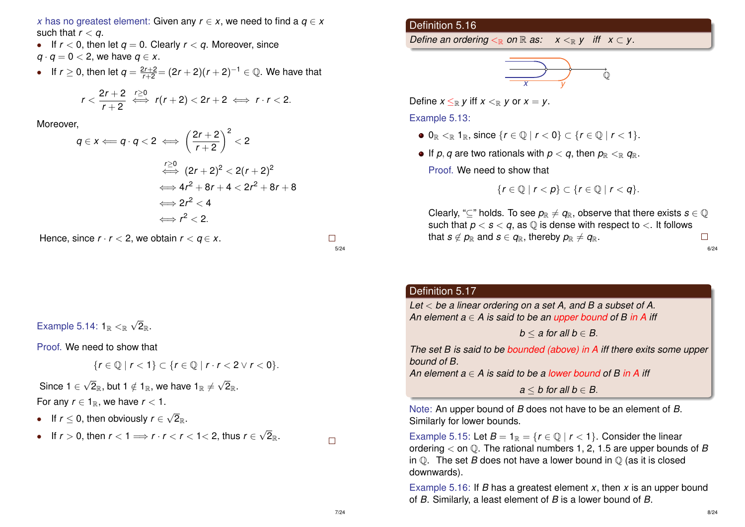*x* has no greatest element: Given any  $r \in x$ , we need to find a  $q \in x$ such that  $r < q$ .

- If  $r < 0$ , then let  $q = 0$ . Clearly  $r < q$ . Moreover, since  $q \cdot q = 0 < 2$ , we have  $q \in X$ .
- If  $r \ge 0$ , then let  $q = \frac{2r+2}{r+2} = (2r+2)(r+2)^{-1} \in \mathbb{Q}$ . We have that

$$
r<\frac{2r+2}{r+2}\iff r(r+2)<2r+2\iff r\cdot r<2.
$$

Moreover,

$$
q \in x \Longleftarrow q \cdot q < 2 \iff \left(\frac{2r+2}{r+2}\right)^2 < 2
$$
\n
$$
\iff (2r+2)^2 < 2(r+2)^2
$$
\n
$$
\iff 4r^2 + 8r + 4 < 2r^2 + 8r + 8
$$
\n
$$
\iff 2r^2 < 4
$$
\n
$$
\iff r^2 < 2.
$$

Hence, since  $r \cdot r < 2$ , we obtain  $r < q \in x$ .

$$
\square
$$
  
5/24

Example 5.14:  $1_{\mathbb{R}} <_{\mathbb{R}}$ √  $2_\mathbb{R}$  .

Proof. We need to show that

$$
\{r\in\mathbb{Q}\mid r<1\}\subset\{r\in\mathbb{Q}\mid r\cdot r<2\vee r<0\}.
$$

Since 1  $\in$ √ 2 $_{\mathbb{R}},$  but 1  $\notin$  1 $_{\mathbb{R}},$  we have 1 $_{\mathbb{R}}$   $\neq$ √  $2_{\mathbb{R}}$  . For any  $r \in 1_{\mathbb{R}}$ , we have  $r < 1$ .

• If *r* ≤ 0, then obviously *r* ∈ √  $2_\mathbb{R}$  .

• If 
$$
r > 0
$$
, then  $r < 1 \implies r \cdot r < r < 1 < 2$ , thus  $r \in \sqrt{2}_{\mathbb{R}}$ .

Definition 5.16

*Define an ordering*  $\lt_{\mathbb{R}}$  *on*  $\mathbb{R}$  *as:*  $x \lt_{\mathbb{R}} y$  *iff*  $x \subset y$ .

$$
\overrightarrow{\hphantom{I}}\xrightarrow{\hphantom{I}}\overrightarrow{\hphantom{I}}\xrightarrow{\hphantom{I}}\overrightarrow{\hphantom{I}}\xrightarrow{\hphantom{I}}\overrightarrow{\hphantom{I}}\xrightarrow{\hphantom{I}}\overrightarrow{\hphantom{I}}\xrightarrow{\hphantom{I}}\overrightarrow{\hphantom{I}}\xrightarrow{\hphantom{I}}\overrightarrow{\hphantom{I}}\xrightarrow{\hphantom{I}}\overrightarrow{\hphantom{I}}\xrightarrow{\hphantom{I}}\xrightarrow{\hphantom{I}}\overrightarrow{\hphantom{I}}\xrightarrow{\hphantom{I}}\xrightarrow{\hphantom{I}}\xrightarrow{\hphantom{I}}\xrightarrow{\hphantom{I}}\xrightarrow{\hphantom{I}}\xrightarrow{\hphantom{I}}\xrightarrow{\hphantom{I}}\xrightarrow{\hphantom{I}}\xrightarrow{\hphantom{I}}\xrightarrow{\hphantom{I}}\xrightarrow{\hphantom{I}}\xrightarrow{\hphantom{I}}\xrightarrow{\hphantom{I}}\xrightarrow{\hphantom{I}}\xrightarrow{\hphantom{I}}\xrightarrow{\hphantom{I}}\xrightarrow{\hphantom{I}}\xrightarrow{\hphantom{I}}\xrightarrow{\hphantom{I}}\xrightarrow{\hphantom{I}}\xrightarrow{\hphantom{I}}\xrightarrow{\hphantom{I}}\xrightarrow{\hphantom{I}}\xrightarrow{\hphantom{I}}\xrightarrow{\hphantom{I}}\xrightarrow{\hphantom{I}}\xrightarrow{\hphantom{I}}\xrightarrow{\hphantom{I}}\xrightarrow{\hphantom{I}}\xrightarrow{\hphantom{I}}\xrightarrow{\hphantom{I}}\xrightarrow{\hphantom{I}}\xrightarrow{\hphantom{I}}\xrightarrow{\hphantom{I}}\xrightarrow{\hphantom{I}}\xrightarrow{\hphantom{I}}\xrightarrow{\hphantom{I}}\xrightarrow{\hphantom{I}}\xrightarrow{\hphantom{I}}\xrightarrow{\hphantom{I}}\xrightarrow{\hphantom{I}}\xrightarrow{\hphantom{I}}\xrightarrow{\hphantom{I}}\xrightarrow{\hphantom{I}}\xrightarrow{\hphantom{I}}\xrightarrow{\hphantom{I}}\xrightarrow{\hphantom{I}}\xrightarrow{\hphantom{I}}\xrightarrow{\hphantom{I}}\xrightarrow{\hphantom{I}}\xrightarrow{\hphantom{I}}\xrightarrow{\hphantom{I}}\xrightarrow{\hphantom{I}}\xrightarrow{\hphantom{I}}\xrightarrow{\hphantom{I}}\xrightarrow{\hphantom{I}}\xrightarrow{\hphantom{I}}\xrightarrow{\hphantom{I}}
$$

Define  $x \leq_R y$  iff  $x \leq_R y$  or  $x = y$ .

Example 5.13:

- $\bullet$  0<sub>R</sub>  $\lt_{\mathbb{R}}$  1<sub>R</sub>, since  $\{r \in \mathbb{Q} \mid r < 0\} \subset \{r \in \mathbb{Q} \mid r < 1\}.$
- $\bullet$  If *p*, *q* are two rationals with  $p < q$ , then  $p_{\mathbb{R}} <_{\mathbb{R}} q_{\mathbb{R}}$ . Proof. We need to show that

$$
\{r\in\mathbb{Q}\mid r
$$

Clearly, "⊆" holds. To see  $p_{\mathbb{R}} \neq q_{\mathbb{R}}$ , observe that there exists  $s \in \mathbb{Q}$ such that  $p < s < q$ , as  $Q$  is dense with respect to  $\lt$ . It follows that  $s \notin p_{\mathbb{R}}$  and  $s \in q_{\mathbb{R}}$ , thereby  $p_{\mathbb{R}} \neq q_{\mathbb{R}}$ .  $\Box$ 

6/24

### Definition 5.17

*Let* < *be a linear ordering on a set A, and B a subset of A. An element a* ∈ *A is said to be an upper bound of B in A iff*

*b*  $\le$  *a* for all *b*  $\in$  *B*.

*The set B is said to be bounded (above) in A iff there exits some upper bound of B.*

*An element*  $a \in A$  *is said to be a lower bound of B in A iff* 

 $a < b$  for all  $b \in B$ .

Note: An upper bound of *B* does not have to be an element of *B*. Similarly for lower bounds.

Example 5.15: Let  $B = 1_R = \{r \in \mathbb{O} \mid r < 1\}$ . Consider the linear ordering < on Q. The rational numbers 1, 2, 1.5 are upper bounds of *B* in  $\mathbb{O}$ . The set *B* does not have a lower bound in  $\mathbb{O}$  (as it is closed downwards).

Example 5.16: If *B* has a greatest element *x*, then *x* is an upper bound of *B*. Similarly, a least element of *B* is a lower bound of *B*.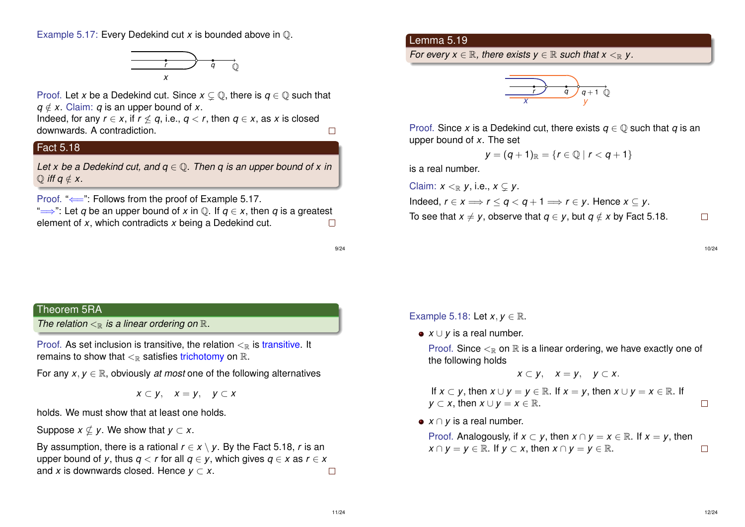Example 5.17: Every Dedekind cut *x* is bounded above in Q.



Proof. Let *x* be a Dedekind cut. Since  $x \subseteq \mathbb{O}$ , there is  $a \in \mathbb{O}$  such that  $q \notin X$ . Claim: *q* is an upper bound of *x*.

Indeed, for any  $r \in x$ , if  $r \nleq q$ , i.e.,  $q \lt r$ , then  $q \in x$ , as x is closed downwards. A contradiction.  $\Box$ 

## Fact 5.18

*Let x be a Dedekind cut, and q* ∈ Q*. Then q is an upper bound of x in*  $\bigcirc$  *iff q*  $\notin$  *x.* 

Proof. "←": Follows from the proof of Example 5.17.

" $\implies$ ": Let *q* be an upper bound of *x* in  $\mathbb{O}$ . If  $q \in X$ , then *q* is a greatest element of *x*, which contradicts *x* being a Dedekind cut.  $\Box$ 

9/24

#### Theorem 5RA

*The relation*  $\leq_{\mathbb{R}}$  *is a linear ordering on*  $\mathbb{R}$ *.* 

Proof. As set inclusion is transitive, the relation  $\lt_{\mathbb{R}}$  is transitive. It remains to show that  $\lt_{\mathbb{R}}$  satisfies trichotomy on  $\mathbb{R}$ .

For any  $x, y \in \mathbb{R}$ , obviously *at most* one of the following alternatives

*x* ⊂ *y*, *x* = *y*, *y* ⊂ *x*

holds. We must show that at least one holds.

Suppose  $x \nsubseteq y$ . We show that  $y \subset x$ .

By assumption, there is a rational  $r \in x \setminus y$ . By the Fact 5.18, *r* is an upper bound of *y*, thus  $q < r$  for all  $q \in y$ , which gives  $q \in x$  as  $r \in x$ and *x* is downwards closed. Hence  $y \subset x$ .  $\Box$ 

#### Lemma 5.19

*For every*  $x \in \mathbb{R}$ *, there exists*  $y \in \mathbb{R}$  *such that*  $x \leq_{\mathbb{R}} y$ .



Proof. Since *x* is a Dedekind cut, there exists  $q \in \mathbb{O}$  such that *q* is an upper bound of *x*. The set

$$
y=(q+1)_{\mathbb{R}}=\{r\in\mathbb{Q}\mid r
$$

is a real number.

Claim:  $x \leq_{\mathbb{R}} v$ , i.e.,  $x \subseteq v$ .

Indeed,  $r \in x \Longrightarrow r \leq q \leq q+1 \Longrightarrow r \in y$ . Hence  $x \subseteq y$ .

To see that  $x \neq y$ , observe that  $q \in y$ , but  $q \notin x$  by Fact 5.18.

10/24

 $\Box$ 

Example 5.18: Let  $x, y \in \mathbb{R}$ .

*x* ∪ *y* is a real number.

Proof. Since  $\leq_{\mathbb{R}}$  on  $\mathbb R$  is a linear ordering, we have exactly one of the following holds

*x* ⊂ *y*, *x* = *y*, *y* ⊂ *x*.

If  $x \subset y$ , then  $x \cup y = y \in \mathbb{R}$ . If  $x = y$ , then  $x \cup y = x \in \mathbb{R}$ . If *y* ⊂ *x*, then *x* ∪ *y* = *x* ∈  $\mathbb{R}$ .  $\Box$ 

**•** *x* ∩ *y* is a real number.

Proof. Analogously, if  $x \subset y$ , then  $x \cap y = x \in \mathbb{R}$ . If  $x = y$ , then  $x \cap y = y \in \mathbb{R}$ . If  $y \subset x$ , then  $x \cap y = y \in \mathbb{R}$ .  $\Box$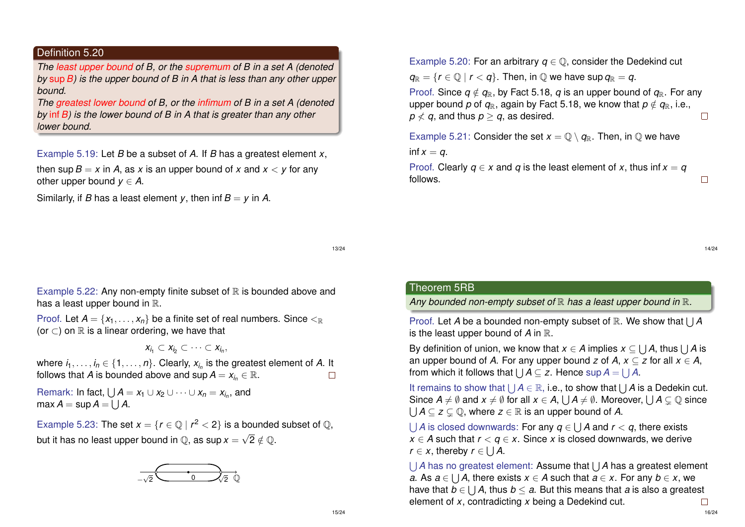#### Definition 5.20

*The least upper bound of B, or the supremum of B in a set A (denoted by* sup*B) is the upper bound of B in A that is less than any other upper bound.*

*The greatest lower bound of B, or the infimum of B in a set A (denoted by* inf*B) is the lower bound of B in A that is greater than any other lower bound.*

Example 5.19: Let *B* be a subset of *A*. If *B* has a greatest element *x*,

then sup  $B = x$  in A, as x is an upper bound of x and  $x < y$  for any other upper bound  $y \in A$ .

Similarly, if *B* has a least element *y*, then inf  $B = y$  in *A*.

Example 5.20: For an arbitrary  $q \in \mathbb{O}$ , consider the Dedekind cut

 $q_{\mathbb{R}} = \{r \in \mathbb{Q} \mid r < q\}$ . Then, in  $\mathbb{Q}$  we have sup  $q_{\mathbb{R}} = q$ .

Proof. Since  $q \notin q_{\mathbb{R}}$ , by Fact 5.18, *q* is an upper bound of  $q_{\mathbb{R}}$ . For any upper bound *p* of  $q_{\mathbb{R}}$ , again by Fact 5.18, we know that  $p \notin q_{\mathbb{R}}$ , i.e.,  $p \nless q$ , and thus  $p > q$ , as desired.  $\Box$ 

Example 5.21: Consider the set  $x = \mathbb{Q} \setminus q_{\mathbb{R}}$ . Then, in  $\mathbb Q$  we have inf  $x = q$ .

Proof. Clearly  $q \in X$  and  $q$  is the least element of  $x$ , thus inf  $x = q$ follows.

13/24

Example 5.22: Any non-empty finite subset of  $\mathbb R$  is bounded above and has a least upper bound in  $\mathbb{R}$ .

Proof. Let  $A = \{x_1, \ldots, x_n\}$  be a finite set of real numbers. Since  $\leq_{\mathbb{R}}$ (or  $\subset$ ) on  $\mathbb R$  is a linear ordering, we have that

$$
X_{i_1} \subset X_{i_2} \subset \cdots \subset X_{i_n},
$$

where  $i_1,\ldots,i_n\in\{1,\ldots,n\}.$  Clearly,  $x_{i_n}$  is the greatest element of  $A$ . It follows that *A* is bounded above and  $\sup A = x_i$ ,  $\in \mathbb{R}$ .  $\Box$ 

Remark: In fact,  $\bigcup A = x_1 \cup x_2 \cup \cdots \cup x_n = x_{i_n}$ , and  $\mathsf{max}\, \mathsf{A} = \mathsf{sup}\, \mathsf{A} = \bigcup \mathsf{A}.$ 

Example 5.23: The set  $x = \{r \in \mathbb{Q} \mid r^2 < 2\}$  is a bounded subset of  $\mathbb{Q}$ , but it has no least upper bound in  $\mathbb{Q}$ , as  $\sup x = \sqrt{2} \notin \mathbb{Q}$ .



#### Theorem 5RB

Any bounded non-empty subset of  $\mathbb R$  has a least upper bound in  $\mathbb R$ .

Proof. Let *A* be a bounded non-empty subset of R. We show that  $\bigcup A$ is the least upper bound of *A* in R.

By definition of union, we know that  $x \in A$  implies  $x \subseteq \bigcup A$ , thus  $\bigcup A$  is an upper bound of *A*. For any upper bound *z* of *A*,  $x \subseteq z$  for all  $x \in A$ , from which it follows that  $\bigcup A \subseteq z$ . Hence sup  $A = \bigcup A$ .

It remains to show that  $\bigcup A \in \mathbb{R}$ , i.e., to show that  $\bigcup A$  is a Dedekin cut. Since  $A \neq \emptyset$  and  $x \neq \emptyset$  for all  $x \in A$ ,  $\bigcup A \neq \emptyset$ . Moreover,  $\bigcup A \subsetneq \mathbb{Q}$  since  $\bigcup A \subseteq z \subsetneq \mathbb{Q}$ , where  $z \in \mathbb{R}$  is an upper bound of A.

 $\bigcup$  *A* is closed downwards: For any  $q \in \bigcup A$  and  $r < q$ , there exists  $x \in A$  such that  $r < a \in x$ . Since *x* is closed downwards, we derive *r*  $\in$  *x*, thereby *r*  $\in \bigcup A$ .

UA has no greatest element: Assume that UA has a greatest element *a*. As *a* ∈ ∪ *A*, there exists *x* ∈ *A* such that *a* ∈ *x*. For any *b* ∈ *x*, we have that *b* ∈ S *A*, thus *b* ≤ *a*. But this means that *a* is also a greatest element of *x*, contradicting *x* being a Dedekind cut.  $\Box$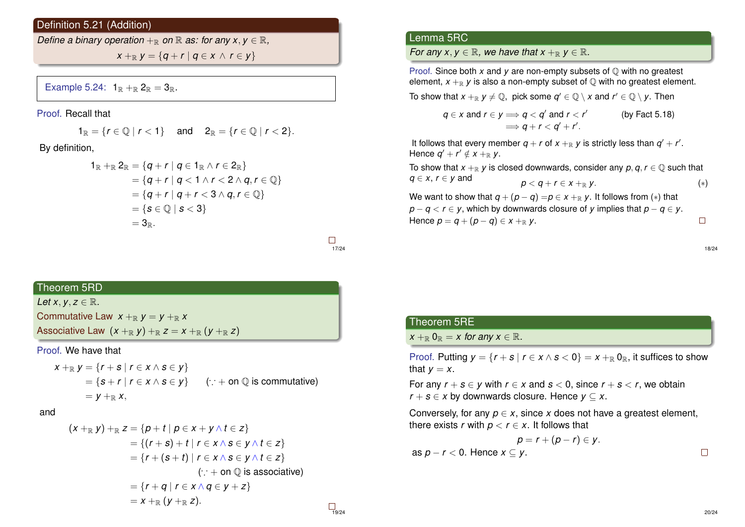#### Definition 5.21 (Addition)

*Define a binary operation*  $+_{\mathbb{R}}$  *on*  $\mathbb{R}$  *as: for any x, y*  $\in$   $\mathbb{R}$ *,* 

 $X + \mathbb{R}$   $V = \{ q + r \mid q \in X \land r \in V \}$ 

Example 5.24:  $1_{\mathbb{R}} +_{\mathbb{R}} 2_{\mathbb{R}} = 3_{\mathbb{R}}$ .

Proof. Recall that

 $1_{\mathbb{R}} = \{r \in \mathbb{Q} \mid r < 1\}$  and  $2_{\mathbb{R}} = \{r \in \mathbb{Q} \mid r < 2\}.$ 

By definition,

$$
1_{\mathbb{R}} +_{\mathbb{R}} 2_{\mathbb{R}} = \{q + r \mid q \in 1_{\mathbb{R}} \land r \in 2_{\mathbb{R}}\}
$$
  
= 
$$
\{q + r \mid q < 1 \land r < 2 \land q, r \in \mathbb{Q}\}
$$
  
= 
$$
\{q + r \mid q + r < 3 \land q, r \in \mathbb{Q}\}
$$
  
= 
$$
\{s \in \mathbb{Q} \mid s < 3\}
$$
  
= 
$$
3_{\mathbb{R}}.
$$

 $\Box$ 17/24

# Theorem 5RD

*Let*  $x, y, z \in \mathbb{R}$ *.* Commutative Law  $x +_R y = y +_R x$ Associative Law  $(x + R y) + R z = x + R (y + R z)$ 

Proof. We have that

$$
x +_{\mathbb{R}} y = \{r + s \mid r \in x \land s \in y\}
$$
  
=  $\{s + r \mid r \in x \land s \in y\}$  ( $\therefore$  + on  $\mathbb{Q}$  is commutative)  
=  $y +_{\mathbb{R}} x$ ,

and

$$
(x+_{\mathbb{R}} y)+_{\mathbb{R}} z=\{p+t \mid p \in x+y \land t \in z\}
$$
  
=\{(r+s)+t \mid r \in x \land s \in y \land t \in z\}  
=\{r+(s+t) \mid r \in x \land s \in y \land t \in z\}  
(\because + on \mathbb{Q} \text{ is associative})  
=\{r+q \mid r \in x \land q \in y+z\}  
=x+\_{\mathbb{R}} (y+\_{\mathbb{R}} z).

### Lemma 5RC

*For any x, y*  $\in \mathbb{R}$ *, we have that x* +<sub>R</sub> *y*  $\in \mathbb{R}$ *.* 

Proof. Since both *x* and *y* are non-empty subsets of  $\oslash$  with no greatest element,  $x + R$  *y* is also a non-empty subset of  $\mathbb{O}$  with no greatest element.

To show that  $x +_{\mathbb{R}} y \neq \mathbb{Q}$ , pick some  $q' \in \mathbb{Q} \setminus x$  and  $r' \in \mathbb{Q} \setminus y$ . Then

$$
q \in x \text{ and } r \in y \Longrightarrow q < q' \text{ and } r < r' \qquad \text{(by Fact 5.18)}
$$
\n
$$
\Longrightarrow q + r < q' + r'.
$$

It follows that every member  $q + r$  of  $x +_{\mathbb{R}} y$  is strictly less than  $q' + r'$ . Hence  $q' + r' \notin x + R$  *y*.

To show that  $x +_{\mathbb{R}} y$  is closed downwards, consider any  $p, q, r \in \mathbb{Q}$  such that *q* ∈ *x*, *r* ∈ *y* and  $p < q + r \in x + R$  *y*. (\*)

We want to show that  $q + (p - q) = p \in x + R$  *y*. It follows from (\*) that *p* − *q* < *r* ∈ *y*, which by downwards closure of *y* implies that *p* − *q* ∈ *y*. Hence  $p = q + (p - q) \in x + R$  *y*.  $\Box$ 

18/24

## Theorem 5RE

 $x +_{\mathbb{R}} 0_{\mathbb{R}} = x$  for any  $x \in \mathbb{R}$ .

Proof. Putting  $y = \{r + s \mid r \in x \land s < 0\} = x +_{\mathbb{R}} 0_{\mathbb{R}}$ , it suffices to show that  $y = x$ .

For any  $r + s \in y$  with  $r \in x$  and  $s < 0$ , since  $r + s < r$ , we obtain *r* + *s* ∈ *x* by downwards closure. Hence  $y \subseteq x$ .

Conversely, for any  $p \in x$ , since x does not have a greatest element, there exists *r* with  $p < r \in x$ . It follows that

$$
p = r + (p - r) \in y.
$$
as  $p - r < 0$ . Hence  $x \subseteq y$ .

 $\Box$ <sub>19/24</sub>